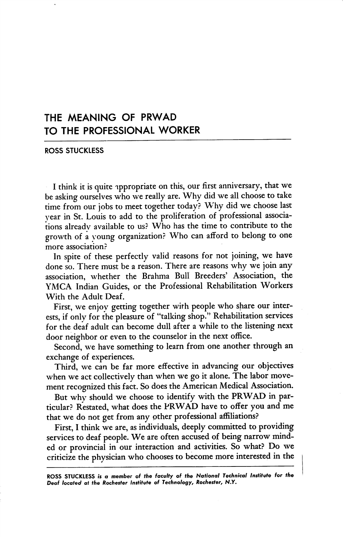## THE MEANING OF PRWAD TO THE PROFESSIONAL WORKER

ROSS STUCKLESS

I think it is quite ippropriate on this, our first anniversary, that we be asking ourselves who we really are. Why did we all choose to take time from our jobs to meet together today? Why did we choose last year in St. Louis to add to the proliferation of professional associa tions alreadv available to us? Who has the time to contribute to the growth of a young organization? Who can afford to belong to one more association?

In spite of these perfectly valid reasons for not joining, we have done so. There must be a reason. There are reasons why we join any association, whether the Brahma Bull Breeders' Association, the YMCA Indian Guides, or the Professional Rehabilitation Workers With the Adult Deaf.

First, we enjoy getting together with people who share our inter ests, if only for the pleasure of "talking shop." Rehabilitation services for the deaf adult can become dull after a while to the listening next door neighbor or even to the counselor in the next office.

Second, we have something to learn from one another through an exchange of experiences.

Third, we can be far more effective in advancing our objectives when we act collectively than when we go it alone. The labor move ment recognized this fact. So does the American Medical Association.

But why should we choose to identify with the PRWAD in par ticular? Restated, what does the PRWAD have to offer you and me that we do not get from any other professional affiliations?

First, I think we are, as individuals, deeply committed to providing services to deaf people. We are often accused of being narrow mind ed or provincial in our interaction and activities. So what? Do we criticize the physician who chooses to become more interested in the

ROSS STUCKLESS is a member of the faculty of the National Technical Institute for the Deaf located at the Rochester Institute of Technology, Rochester, N.Y,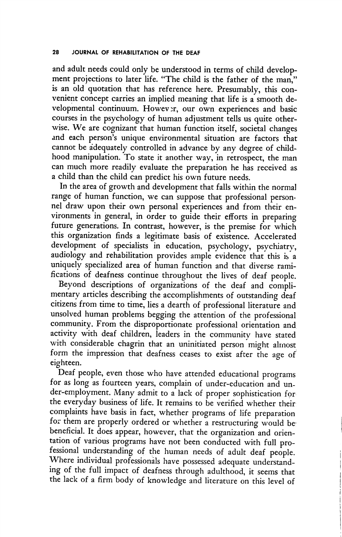and adult needs could only be understood in terms of child develop ment projections to later life. "The child is the father of the man," is an old quotation that has reference here. Presumably, this con venient concept carries an implied meaning that life is a smooth de velopmental continuum. However, our own experiences and basic courses in the psychology of human adjustment tells us quite other wise. We are cognizant that human function itself, societal changes and each person's unique environmental situation are factors that cannot be adequately controlled in advance by any degree of child hood manipulation. To state it another way, in retrospect, the man can much more readily evaluate the preparation he has received as a child than the child can predict his own future needs.

In the area of growth and development that falls within the normal range of human function, we can suppose that professional person nel draw upon their own personal experiences and from their en vironments in general, in order to guide their efforts in preparing future generations. In contrast, however, is the premise for which this organization finds a legitimate basis of existence. Accelerated development of specialists in education, psychology, psychiatry, audiology and rehabilitation provides ample evidence that this is a uniquely specialized area of human function and that diverse rami fications of deafness continue throughout the lives of deaf people.

Beyond descriptions of organizations of the deaf and compli mentary articles describing the accomplishments of outstanding deaf citizens from time to time, lies a dearth of professional literature and unsolved human problems begging the attention of the professional community. From the disproportionate professional orientation and activity with deaf children, leaders in the community have stated with considerable chagrin that an uninitiated person might almost form the impression that deafness ceases to exist after the age of eighteen.

Deaf people, even those who have attended educational programs for as long as fourteen years, complain of under-education and under-employment. Many admit to a lack of proper sophistication for the everyday business of life. It remains to be verified whether their complaints have basis in fact, whether programs of life preparation for them are properly ordered or whether a restructuring would be' beneficial. It does appear, however, that the organization and orien tation of various programs have not been conducted with full pro fessional understanding of the human needs of adult deaf people. Where individual professionals have possessed adequate understand ing of the full impact of deafness through adulthood, it seems that the lack of a firm body of knowledge and literature on this level of